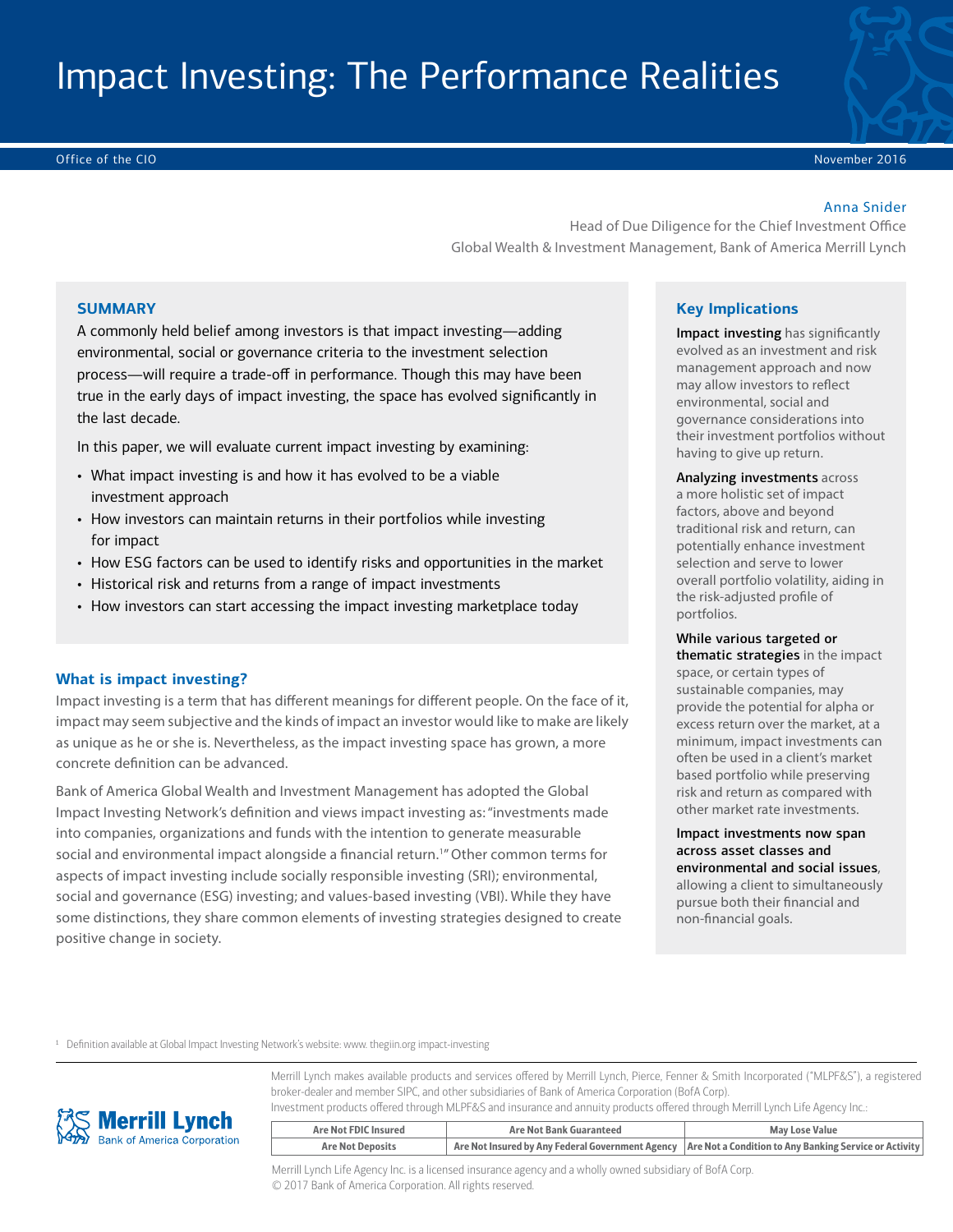# Impact Investing: The Performance Realities

Office of the CIO November 2016

#### Anna Snider

Head of Due Diligence for the Chief Investment Office Global Wealth & Investment Management, Bank of America Merrill Lynch

# **SUMMARY**

A commonly held belief among investors is that impact investing—adding environmental, social or governance criteria to the investment selection process—will require a trade-off in performance. Though this may have been true in the early days of impact investing, the space has evolved significantly in the last decade.

In this paper, we will evaluate current impact investing by examining:

- What impact investing is and how it has evolved to be a viable investment approach
- How investors can maintain returns in their portfolios while investing for impact
- How ESG factors can be used to identify risks and opportunities in the market
- Historical risk and returns from a range of impact investments
- How investors can start accessing the impact investing marketplace today

#### **What is impact investing?**

Impact investing is a term that has different meanings for different people. On the face of it, impact may seem subjective and the kinds of impact an investor would like to make are likely as unique as he or she is. Nevertheless, as the impact investing space has grown, a more concrete definition can be advanced.

Bank of America Global Wealth and Investment Management has adopted the Global Impact Investing Network's definition and views impact investing as: "investments made into companies, organizations and funds with the intention to generate measurable social and environmental impact alongside a financial return.<sup>1</sup>" Other common terms for aspects of impact investing include socially responsible investing (SRI); environmental, social and governance (ESG) investing; and values-based investing (VBI). While they have some distinctions, they share common elements of investing strategies designed to create positive change in society.

#### **Key Implications**

Impact investing has significantly evolved as an investment and risk management approach and now may allow investors to reflect environmental, social and governance considerations into their investment portfolios without having to give up return.

Analyzing investments across a more holistic set of impact factors, above and beyond traditional risk and return, can potentially enhance investment selection and serve to lower overall portfolio volatility, aiding in the risk-adjusted profile of portfolios.

While various targeted or thematic strategies in the impact space, or certain types of sustainable companies, may provide the potential for alpha or excess return over the market, at a minimum, impact investments can often be used in a client's market based portfolio while preserving risk and return as compared with other market rate investments.

Impact investments now span across asset classes and environmental and social issues, allowing a client to simultaneously pursue both their financial and

non-financial goals.

<sup>1</sup> Definition available at Global Impact Investing Network's website: www. thegiin.org impact-investing

Merrill Lynch makes available products and services offered by Merrill Lynch, Pierce, Fenner & Smith Incorporated ("MLPF&S"), a registered broker-dealer and member SIPC, and other subsidiaries of Bank of America Corporation (BofA Corp). Investment products offered through MLPF&S and insurance and annuity products offered through Merrill Lynch Life Agency Inc.:



| Are Not FDIC Insured    | Are Not Bank Guaranteed | <b>May Lose Value</b>                                                                                     |
|-------------------------|-------------------------|-----------------------------------------------------------------------------------------------------------|
| <b>Are Not Deposits</b> |                         | Are Not Insured by Any Federal Government Agency   Are Not a Condition to Any Banking Service or Activity |

Merrill Lynch Life Agency Inc. is a licensed insurance agency and a wholly owned subsidiary of BofA Corp. © 2017 Bank of America Corporation. All rights reserved.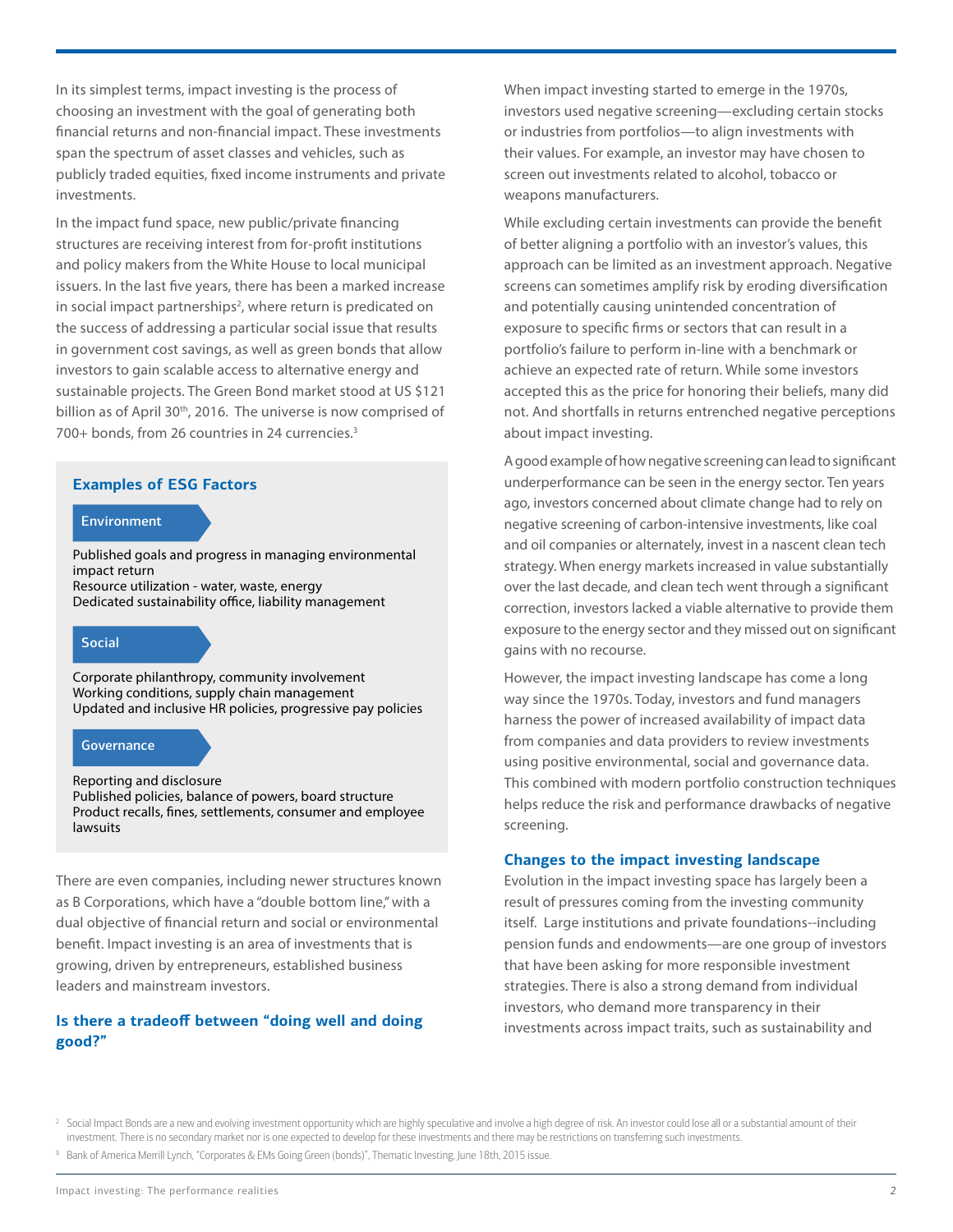In its simplest terms, impact investing is the process of choosing an investment with the goal of generating both financial returns and non-financial impact. These investments span the spectrum of asset classes and vehicles, such as publicly traded equities, fixed income instruments and private investments.

In the impact fund space, new public/private financing structures are receiving interest from for-profit institutions and policy makers from the White House to local municipal issuers. In the last five years, there has been a marked increase in social impact partnerships<sup>2</sup>, where return is predicated on the success of addressing a particular social issue that results in government cost savings, as well as green bonds that allow investors to gain scalable access to alternative energy and sustainable projects. The Green Bond market stood at US \$121 billion as of April 30<sup>th</sup>, 2016. The universe is now comprised of 700+ bonds, from 26 countries in 24 currencies.3

#### **Examples of ESG Factors**

#### **Environment**

Published goals and progress in managing environmental impact return Resource utilization - water, waste, energy Dedicated sustainability office, liability management

### Social

Corporate philanthropy, community involvement Working conditions, supply chain management Updated and inclusive HR policies, progressive pay policies

#### **Governance**

Reporting and disclosure Published policies, balance of powers, board structure Product recalls, fines, settlements, consumer and employee lawsuits

There are even companies, including newer structures known as B Corporations, which have a "double bottom line," with a dual objective of financial return and social or environmental benefit. Impact investing is an area of investments that is growing, driven by entrepreneurs, established business leaders and mainstream investors.

# **Is there a tradeoff between "doing well and doing good?"**

When impact investing started to emerge in the 1970s, investors used negative screening—excluding certain stocks or industries from portfolios—to align investments with their values. For example, an investor may have chosen to screen out investments related to alcohol, tobacco or weapons manufacturers.

While excluding certain investments can provide the benefit of better aligning a portfolio with an investor's values, this approach can be limited as an investment approach. Negative screens can sometimes amplify risk by eroding diversification and potentially causing unintended concentration of exposure to specific firms or sectors that can result in a portfolio's failure to perform in-line with a benchmark or achieve an expected rate of return. While some investors accepted this as the price for honoring their beliefs, many did not. And shortfalls in returns entrenched negative perceptions about impact investing.

A good example of how negative screening can lead to significant underperformance can be seen in the energy sector. Ten years ago, investors concerned about climate change had to rely on negative screening of carbon-intensive investments, like coal and oil companies or alternately, invest in a nascent clean tech strategy. When energy markets increased in value substantially over the last decade, and clean tech went through a significant correction, investors lacked a viable alternative to provide them exposure to the energy sector and they missed out on significant gains with no recourse.

However, the impact investing landscape has come a long way since the 1970s. Today, investors and fund managers harness the power of increased availability of impact data from companies and data providers to review investments using positive environmental, social and governance data. This combined with modern portfolio construction techniques helps reduce the risk and performance drawbacks of negative screening.

#### **Changes to the impact investing landscape**

Evolution in the impact investing space has largely been a result of pressures coming from the investing community itself. Large institutions and private foundations--including pension funds and endowments—are one group of investors that have been asking for more responsible investment strategies. There is also a strong demand from individual investors, who demand more transparency in their investments across impact traits, such as sustainability and

<sup>2</sup> Social Impact Bonds are a new and evolving investment opportunity which are highly speculative and involve a high degree of risk. An investor could lose all or a substantial amount of their investment. There is no secondary market nor is one expected to develop for these investments and there may be restrictions on transferring such investments.

<sup>3</sup> Bank of America Merrill Lynch, "Corporates & EMs Going Green (bonds)", Thematic Investing, June 18th, 2015 issue.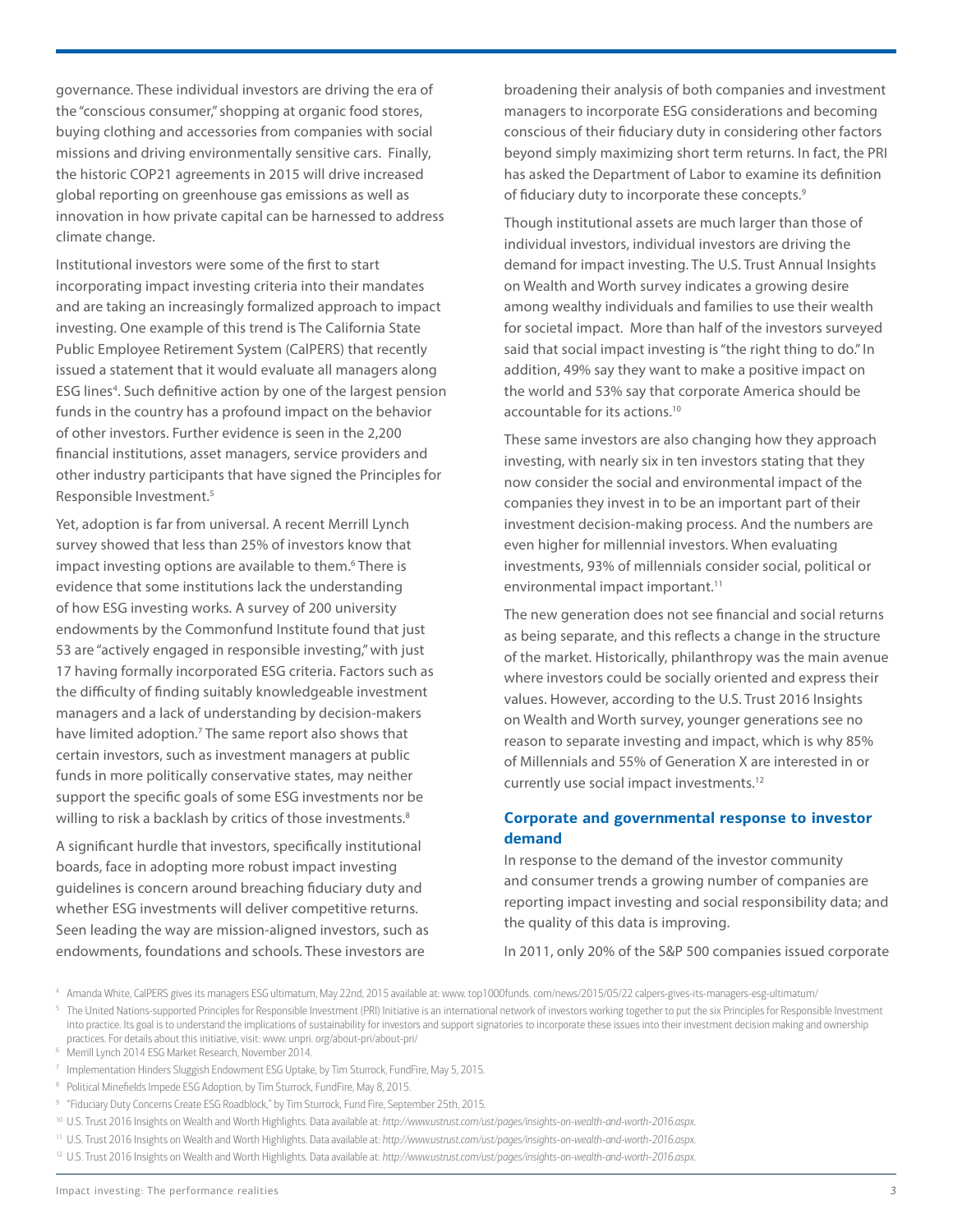governance. These individual investors are driving the era of the "conscious consumer," shopping at organic food stores, buying clothing and accessories from companies with social missions and driving environmentally sensitive cars. Finally, the historic COP21 agreements in 2015 will drive increased global reporting on greenhouse gas emissions as well as innovation in how private capital can be harnessed to address climate change.

Institutional investors were some of the first to start incorporating impact investing criteria into their mandates and are taking an increasingly formalized approach to impact investing. One example of this trend is The California State Public Employee Retirement System (CalPERS) that recently issued a statement that it would evaluate all managers along ESG lines<sup>4</sup>. Such definitive action by one of the largest pension funds in the country has a profound impact on the behavior of other investors. Further evidence is seen in the 2,200 financial institutions, asset managers, service providers and other industry participants that have signed the Principles for Responsible Investment.5

Yet, adoption is far from universal. A recent Merrill Lynch survey showed that less than 25% of investors know that impact investing options are available to them.<sup>6</sup> There is evidence that some institutions lack the understanding of how ESG investing works. A survey of 200 university endowments by the Commonfund Institute found that just 53 are "actively engaged in responsible investing," with just 17 having formally incorporated ESG criteria. Factors such as the difficulty of finding suitably knowledgeable investment managers and a lack of understanding by decision-makers have limited adoption.<sup>7</sup> The same report also shows that certain investors, such as investment managers at public funds in more politically conservative states, may neither support the specific goals of some ESG investments nor be willing to risk a backlash by critics of those investments.<sup>8</sup>

A significant hurdle that investors, specifically institutional boards, face in adopting more robust impact investing guidelines is concern around breaching fiduciary duty and whether ESG investments will deliver competitive returns. Seen leading the way are mission-aligned investors, such as endowments, foundations and schools. These investors are

broadening their analysis of both companies and investment managers to incorporate ESG considerations and becoming conscious of their fiduciary duty in considering other factors beyond simply maximizing short term returns. In fact, the PRI has asked the Department of Labor to examine its definition of fiduciary duty to incorporate these concepts.<sup>9</sup>

Though institutional assets are much larger than those of individual investors, individual investors are driving the demand for impact investing. The U.S. Trust Annual Insights on Wealth and Worth survey indicates a growing desire among wealthy individuals and families to use their wealth for societal impact. More than half of the investors surveyed said that social impact investing is "the right thing to do." In addition, 49% say they want to make a positive impact on the world and 53% say that corporate America should be accountable for its actions.10

These same investors are also changing how they approach investing, with nearly six in ten investors stating that they now consider the social and environmental impact of the companies they invest in to be an important part of their investment decision-making process. And the numbers are even higher for millennial investors. When evaluating investments, 93% of millennials consider social, political or environmental impact important.<sup>11</sup>

The new generation does not see financial and social returns as being separate, and this reflects a change in the structure of the market. Historically, philanthropy was the main avenue where investors could be socially oriented and express their values. However, according to the U.S. Trust 2016 Insights on Wealth and Worth survey, younger generations see no reason to separate investing and impact, which is why 85% of Millennials and 55% of Generation X are interested in or currently use social impact investments.12

# **Corporate and governmental response to investor demand**

In response to the demand of the investor community and consumer trends a growing number of companies are reporting impact investing and social responsibility data; and the quality of this data is improving.

In 2011, only 20% of the S&P 500 companies issued corporate

<sup>4</sup> Amanda White, CalPERS gives its managers ESG ultimatum, May 22nd, 2015 available at: www. top1000funds. com/news/2015/05/22 calpers-gives-its-managers-esg-ultimatum/

<sup>&</sup>lt;sup>5</sup> The United Nations-supported Principles for Responsible Investment (PRI) Initiative is an international network of investors working together to put the six Principles for Responsible Investment into practice. Its goal is to understand the implications of sustainability for investors and support signatories to incorporate these issues into their investment decision making and ownership practices. For details about this initiative, visit: www. unpri. org/about-pri/about-pri/

<sup>6</sup> Merrill Lynch 2014 ESG Market Research, November 2014.

<sup>7</sup> Implementation Hinders Sluggish Endowment ESG Uptake, by Tim Sturrock, FundFire, May 5, 2015.

<sup>&</sup>lt;sup>8</sup> Political Minefields Impede ESG Adoption, by Tim Sturrock, FundFire, May 8, 2015.

<sup>&</sup>lt;sup>9</sup> "Fiduciary Duty Concerns Create ESG Roadblock," by Tim Sturrock, Fund Fire, September 25th, 2015.

<sup>10</sup> U.S. Trust 2016 Insights on Wealth and Worth Highlights. Data available at: *http://www.ustrust.com/ust/pages/insights-on-wealth-and-worth-2016.aspx*.

<sup>11</sup> U.S. Trust 2016 Insights on Wealth and Worth Highlights. Data available at: *http://www.ustrust.com/ust/pages/insights-on-wealth-and-worth-2016.aspx*.

<sup>12</sup> U.S. Trust 2016 Insights on Wealth and Worth Highlights. Data available at: *http://www.ustrust.com/ust/pages/insights-on-wealth-and-worth-2016.aspx*.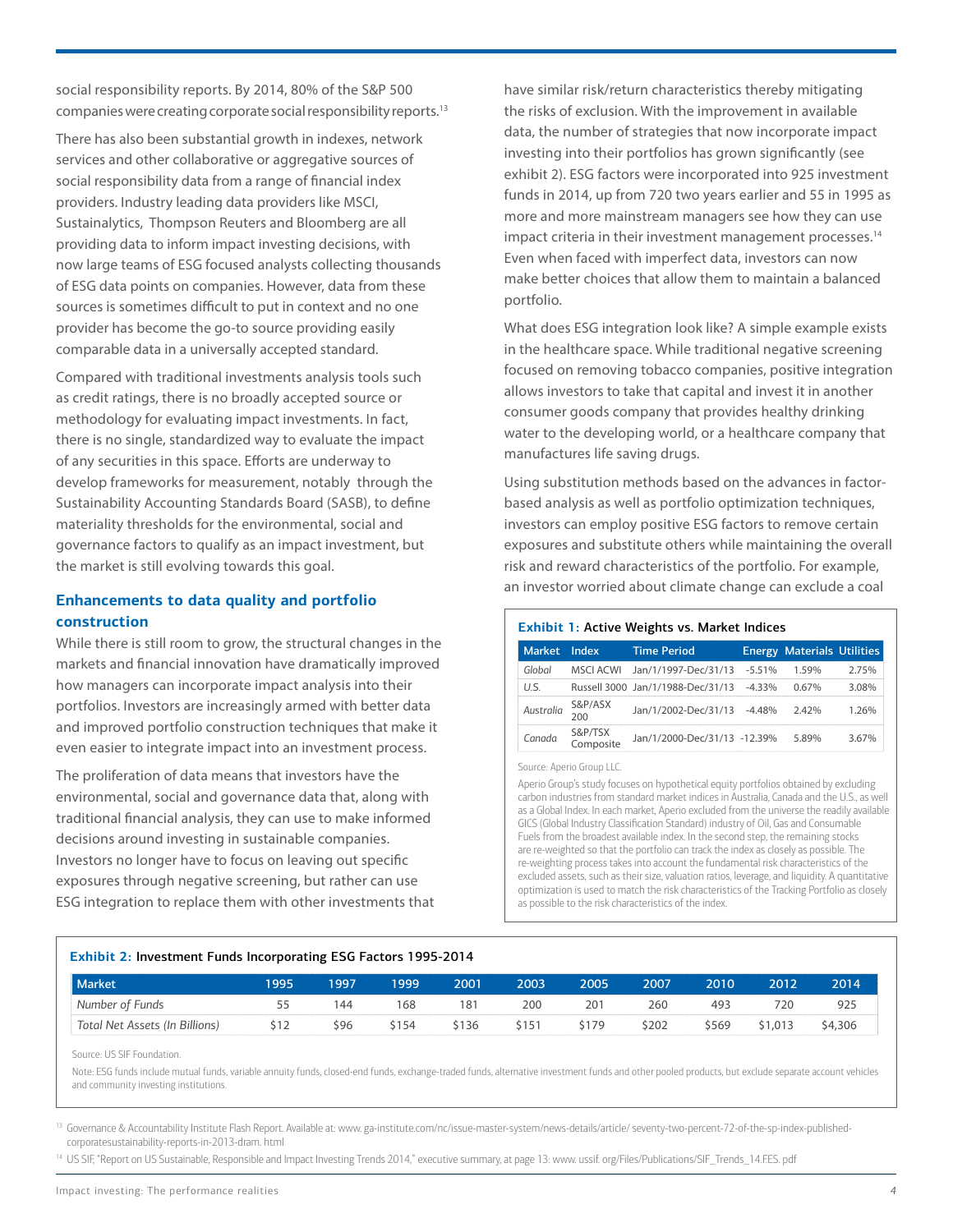social responsibility reports. By 2014, 80% of the S&P 500 companies were creating corporate social responsibility reports.13

There has also been substantial growth in indexes, network services and other collaborative or aggregative sources of social responsibility data from a range of financial index providers. Industry leading data providers like MSCI, Sustainalytics, Thompson Reuters and Bloomberg are all providing data to inform impact investing decisions, with now large teams of ESG focused analysts collecting thousands of ESG data points on companies. However, data from these sources is sometimes difficult to put in context and no one provider has become the go-to source providing easily comparable data in a universally accepted standard.

Compared with traditional investments analysis tools such as credit ratings, there is no broadly accepted source or methodology for evaluating impact investments. In fact, there is no single, standardized way to evaluate the impact of any securities in this space. Efforts are underway to develop frameworks for measurement, notably through the Sustainability Accounting Standards Board (SASB), to define materiality thresholds for the environmental, social and governance factors to qualify as an impact investment, but the market is still evolving towards this goal.

# **Enhancements to data quality and portfolio construction**

While there is still room to grow, the structural changes in the markets and financial innovation have dramatically improved how managers can incorporate impact analysis into their portfolios. Investors are increasingly armed with better data and improved portfolio construction techniques that make it even easier to integrate impact into an investment process.

The proliferation of data means that investors have the environmental, social and governance data that, along with traditional financial analysis, they can use to make informed decisions around investing in sustainable companies. Investors no longer have to focus on leaving out specific exposures through negative screening, but rather can use ESG integration to replace them with other investments that have similar risk/return characteristics thereby mitigating the risks of exclusion. With the improvement in available data, the number of strategies that now incorporate impact investing into their portfolios has grown significantly (see exhibit 2). ESG factors were incorporated into 925 investment funds in 2014, up from 720 two years earlier and 55 in 1995 as more and more mainstream managers see how they can use impact criteria in their investment management processes.<sup>14</sup> Even when faced with imperfect data, investors can now make better choices that allow them to maintain a balanced portfolio.

What does ESG integration look like? A simple example exists in the healthcare space. While traditional negative screening focused on removing tobacco companies, positive integration allows investors to take that capital and invest it in another consumer goods company that provides healthy drinking water to the developing world, or a healthcare company that manufactures life saving drugs.

Using substitution methods based on the advances in factorbased analysis as well as portfolio optimization techniques, investors can employ positive ESG factors to remove certain exposures and substitute others while maintaining the overall risk and reward characteristics of the portfolio. For example, an investor worried about climate change can exclude a coal

#### **Exhibit 1:** Active Weights vs. Market Indices

| <b>Market</b> | Index                | <b>Time Period</b>                |           | <b>Energy Materials Utilities</b> |       |
|---------------|----------------------|-----------------------------------|-----------|-----------------------------------|-------|
| Global        | MSCI ACWI            | Jan/1/1997-Dec/31/13              | $-5.51%$  | 1.59%                             | 2.75% |
| U.S.          |                      | Russell 3000 Jan/1/1988-Dec/31/13 | $-4.33\%$ | 0.67%                             | 3.08% |
| Australia     | S&P/ASX<br>200       | Jan/1/2002-Dec/31/13              | $-4.48%$  | 2.42%                             | 1.26% |
| Canada        | S&P/TSX<br>Composite | Jan/1/2000-Dec/31/13 -12.39%      |           | 5.89%                             | 3.67% |

Source: Aperio Group LLC.

Aperio Group's study focuses on hypothetical equity portfolios obtained by excluding carbon industries from standard market indices in Australia, Canada and the U.S., as well as a Global Index. In each market, Aperio excluded from the universe the readily available GICS (Global Industry Classification Standard) industry of Oil, Gas and Consumable Fuels from the broadest available index. In the second step, the remaining stocks are re-weighted so that the portfolio can track the index as closely as possible. The re-weighting process takes into account the fundamental risk characteristics of the excluded assets, such as their size, valuation ratios, leverage, and liquidity. A quantitative optimization is used to match the risk characteristics of the Tracking Portfolio as closely as possible to the risk characteristics of the index.

#### **Exhibit 2:** Investment Funds Incorporating ESG Factors 1995-2014

| <b>Market</b>                  | 995  | 1997 | 1999  | 2001  | 2003  | 2005  | 2007  | 2010  | 2012    | 2014    |
|--------------------------------|------|------|-------|-------|-------|-------|-------|-------|---------|---------|
| Number of Funds                |      | 144  | 168   | 181   | 200   | .20   | 260   | 493   | 720     | 925     |
| Total Net Assets (In Billions) | \$12 | \$96 | \$154 | \$136 | \$151 | \$179 | \$202 | \$569 | \$1,013 | \$4,306 |

Source: US SIF Foundation.

Note: ESG funds include mutual funds, variable annuity funds, closed-end funds, exchange-traded funds, alternative investment funds and other pooled products, but exclude separate account vehicles and community investing institutions.

<sup>13</sup> Governance & Accountability Institute Flash Report. Available at: www. ga-institute.com/nc/issue-master-system/news-details/article/ seventy-two-percent-72-of-the-sp-index-publishedcorporatesustainability-reports-in-2013-dram. html

<sup>14</sup> US SIF, "Report on US Sustainable, Responsible and Impact Investing Trends 2014," executive summary, at page 13: www. ussif. org/Files/Publications/SIF\_Trends\_14.FES. pdf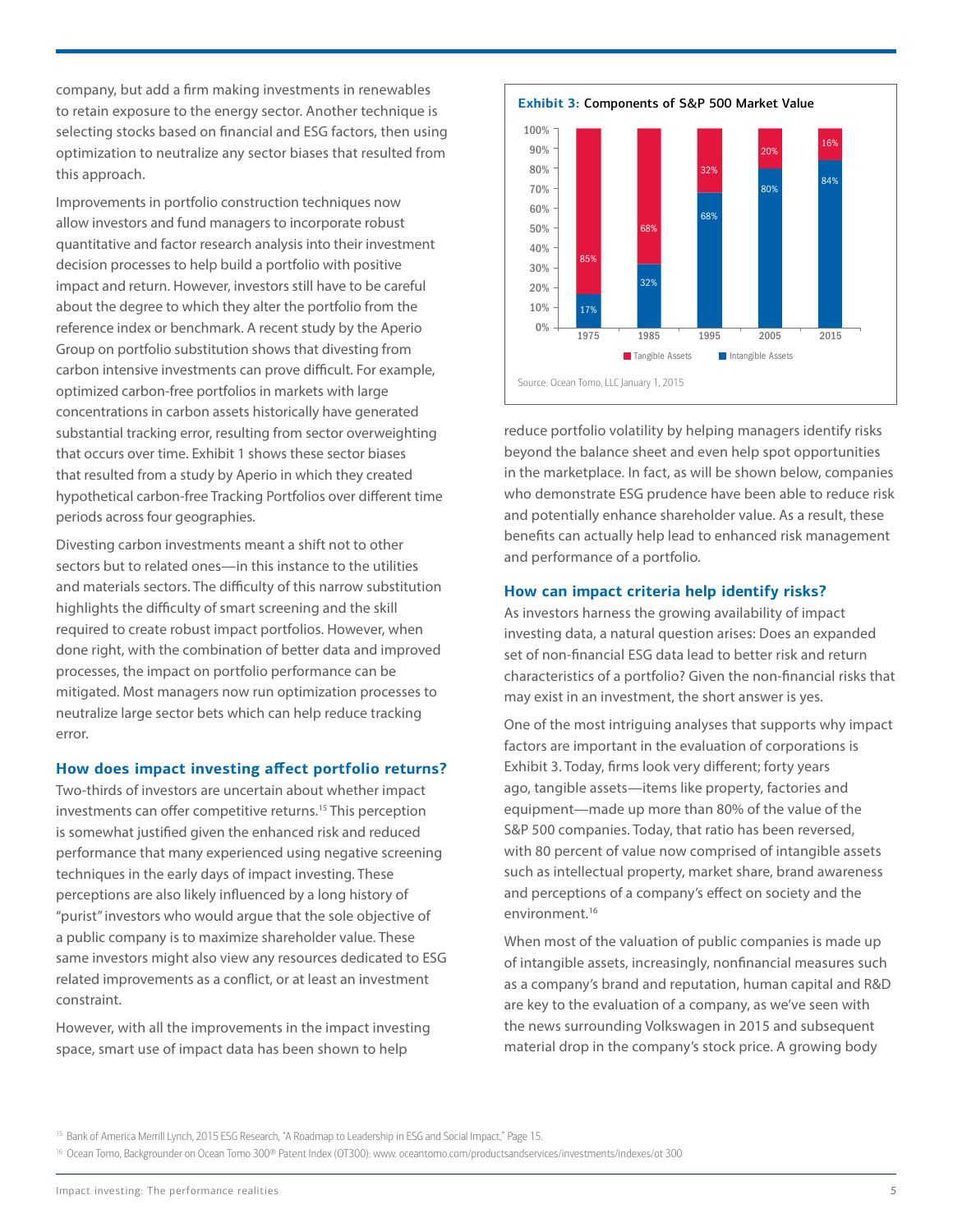company, but add a firm making investments in renewables to retain exposure to the energy sector. Another technique is selecting stocks based on financial and ESG factors, then using optimization to neutralize any sector biases that resulted from this approach.

Improvements in portfolio construction techniques now allow investors and fund managers to incorporate robust quantitative and factor research analysis into their investment decision processes to help build a portfolio with positive impact and return. However, investors still have to be careful about the degree to which they alter the portfolio from the reference index or benchmark. A recent study by the Aperio Group on portfolio substitution shows that divesting from carbon intensive investments can prove difficult. For example, optimized carbon-free portfolios in markets with large concentrations in carbon assets historically have generated substantial tracking error, resulting from sector overweighting that occurs over time. Exhibit 1 shows these sector biases that resulted from a study by Aperio in which they created hypothetical carbon-free Tracking Portfolios over different time periods across four geographies.

Divesting carbon investments meant a shift not to other sectors but to related ones—in this instance to the utilities and materials sectors. The difficulty of this narrow substitution highlights the difficulty of smart screening and the skill required to create robust impact portfolios. However, when done right, with the combination of better data and improved processes, the impact on portfolio performance can be mitigated. Most managers now run optimization processes to neutralize large sector bets which can help reduce tracking error.

#### **How does impact investing affect portfolio returns?**

Two-thirds of investors are uncertain about whether impact investments can offer competitive returns.<sup>15</sup> This perception is somewhat justified given the enhanced risk and reduced performance that many experienced using negative screening techniques in the early days of impact investing. These perceptions are also likely influenced by a long history of "purist" investors who would argue that the sole objective of a public company is to maximize shareholder value. These same investors might also view any resources dedicated to ESG related improvements as a conflict, or at least an investment constraint.

However, with all the improvements in the impact investing space, smart use of impact data has been shown to help



reduce portfolio volatility by helping managers identify risks beyond the balance sheet and even help spot opportunities in the marketplace. In fact, as will be shown below, companies who demonstrate ESG prudence have been able to reduce risk and potentially enhance shareholder value. As a result, these benefits can actually help lead to enhanced risk management and performance of a portfolio.

# **How can impact criteria help identify risks?**

As investors harness the growing availability of impact investing data, a natural question arises: Does an expanded set of non-financial ESG data lead to better risk and return characteristics of a portfolio? Given the non-financial risks that may exist in an investment, the short answer is yes.

One of the most intriguing analyses that supports why impact factors are important in the evaluation of corporations is Exhibit 3. Today, firms look very different; forty years ago, tangible assets—items like property, factories and equipment—made up more than 80% of the value of the S&P 500 companies. Today, that ratio has been reversed, with 80 percent of value now comprised of intangible assets such as intellectual property, market share, brand awareness and perceptions of a company's effect on society and the environment.<sup>16</sup>

When most of the valuation of public companies is made up of intangible assets, increasingly, nonfinancial measures such as a company's brand and reputation, human capital and R&D are key to the evaluation of a company, as we've seen with the news surrounding Volkswagen in 2015 and subsequent material drop in the company's stock price. A growing body

<sup>16</sup> Ocean Tomo, Backgrounder on Ocean Tomo 300® Patent Index (OT300): www. oceantomo.com/productsandservices/investments/indexes/ot 300

<sup>&</sup>lt;sup>15</sup> Bank of America Merrill Lynch, 2015 ESG Research, "A Roadmap to Leadership in ESG and Social Impact," Page 15.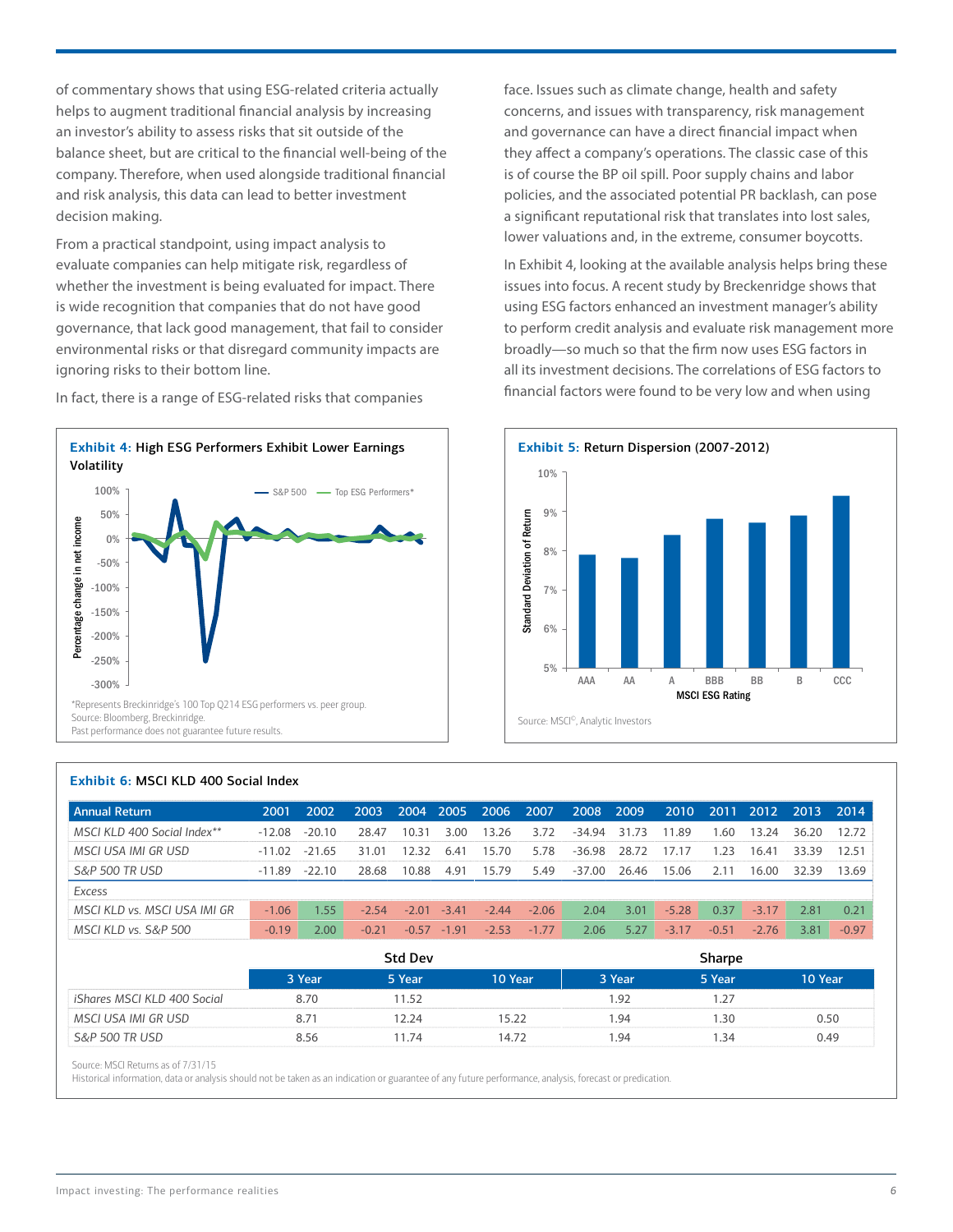of commentary shows that using ESG-related criteria actually helps to augment traditional financial analysis by increasing an investor's ability to assess risks that sit outside of the balance sheet, but are critical to the financial well-being of the company. Therefore, when used alongside traditional financial and risk analysis, this data can lead to better investment decision making.

From a practical standpoint, using impact analysis to evaluate companies can help mitigate risk, regardless of whether the investment is being evaluated for impact. There is wide recognition that companies that do not have good governance, that lack good management, that fail to consider environmental risks or that disregard community impacts are ignoring risks to their bottom line.



In fact, there is a range of ESG-related risks that companies

face. Issues such as climate change, health and safety concerns, and issues with transparency, risk management and governance can have a direct financial impact when they affect a company's operations. The classic case of this is of course the BP oil spill. Poor supply chains and labor policies, and the associated potential PR backlash, can pose a significant reputational risk that translates into lost sales, lower valuations and, in the extreme, consumer boycotts.

In Exhibit 4, looking at the available analysis helps bring these issues into focus. A recent study by Breckenridge shows that using ESG factors enhanced an investment manager's ability to perform credit analysis and evaluate risk management more broadly—so much so that the firm now uses ESG factors in all its investment decisions. The correlations of ESG factors to financial factors were found to be very low and when using



| 2001     | 2002     | 2003    | 2004    |         | 2006            | 2007    | 2008   | 2009  | 2010    | 2011    | 2012    | 2013  | 2014    |
|----------|----------|---------|---------|---------|-----------------|---------|--------|-------|---------|---------|---------|-------|---------|
| $-12.08$ | $-20.10$ | 28.47   | 10.31   | 3.00    | 3.26            | 3.72    | -34.94 | 31.73 | 11.89   | .60     | 13.24   | 36.20 | 12.72   |
| $-11.02$ | $-21.65$ | 31.01   | 12.32   | 6.41    | 15.70           | 5.78    | -36.98 | 28.72 | 17.17   | 1.23    | 16.41   | 33.39 | 12.51   |
| -11.89   | $-22.10$ | 28.68   | 10.88   | 4.91    | 15.79           | 5.49    | -37.00 | 26.46 | 15.06   | 2.11    | 16.00   | 32.39 | 13.69   |
|          |          |         |         |         |                 |         |        |       |         |         |         |       |         |
| $-1.06$  | 1.55     | $-2.54$ | $-2.01$ | $-3.41$ | $-2.44$         | $-2.06$ | 2.04   | 3.01  | $-5.28$ | 0.37    | $-3.17$ | 2.81  | 0.21    |
| $-0.19$  | 2.00     | $-0.21$ |         | $-1.91$ | $-2.53$         | $-1.77$ | 2.06   | 5.27  | $-3.17$ | $-0.51$ | $-2.76$ | 3.81  | $-0.97$ |
|          |          |         |         |         | 2005<br>$-0.57$ |         |        |       |         |         |         |       |         |

#### **Exhibit 6:** MSCI KLD 400 Social Index

|                             |        | <b>Std Dev</b> |         |        | Sharpe |         |
|-----------------------------|--------|----------------|---------|--------|--------|---------|
|                             | 3 Year | 5 Year         | 10 Year | 3 Year | 5 Year | 10 Year |
| iShares MSCI KLD 400 Social | 8.70   | 11.52          |         | 1.92   | 1.27   |         |
| MSCI USA IMI GR USD         | 8.71   | 12.24          | 5.22    | 1.94   | 1.30   | 0.50    |
| S&P 500 TR USD              | 8.56   | 11.74          | 14.72   | 1.94   | 1.34   | 0.49    |

Source: MSCI Returns as of 7/31/15

Historical information, data or analysis should not be taken as an indication or guarantee of any future performance, analysis, forecast or predication.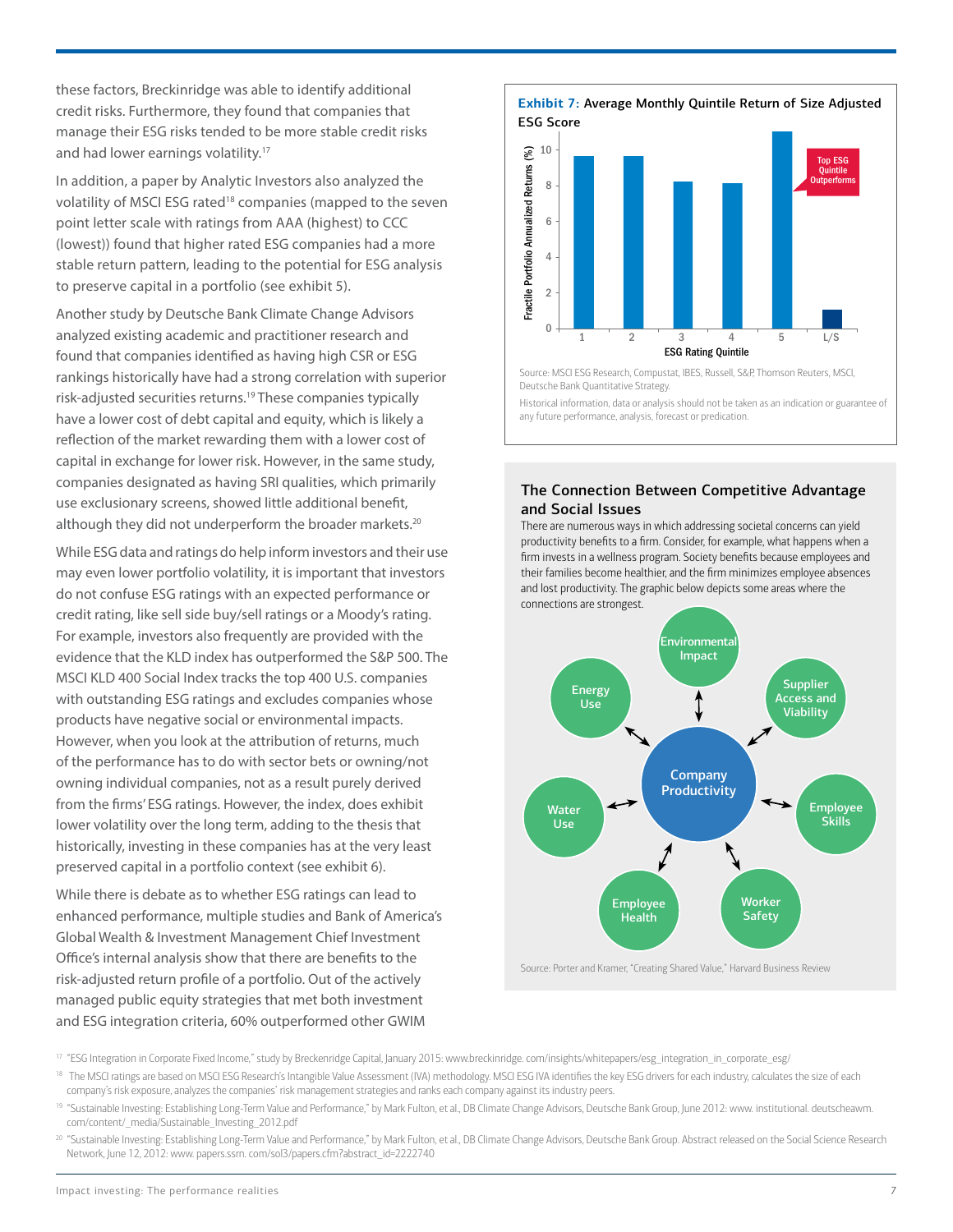these factors, Breckinridge was able to identify additional credit risks. Furthermore, they found that companies that manage their ESG risks tended to be more stable credit risks and had lower earnings volatility.<sup>17</sup>

In addition, a paper by Analytic Investors also analyzed the volatility of MSCI ESG rated<sup>18</sup> companies (mapped to the seven point letter scale with ratings from AAA (highest) to CCC (lowest)) found that higher rated ESG companies had a more stable return pattern, leading to the potential for ESG analysis to preserve capital in a portfolio (see exhibit 5).

Another study by Deutsche Bank Climate Change Advisors analyzed existing academic and practitioner research and found that companies identified as having high CSR or ESG rankings historically have had a strong correlation with superior risk-adjusted securities returns.19 These companies typically have a lower cost of debt capital and equity, which is likely a reflection of the market rewarding them with a lower cost of capital in exchange for lower risk. However, in the same study, companies designated as having SRI qualities, which primarily use exclusionary screens, showed little additional benefit, although they did not underperform the broader markets.<sup>20</sup>

While ESG data and ratings do help inform investors and their use may even lower portfolio volatility, it is important that investors do not confuse ESG ratings with an expected performance or credit rating, like sell side buy/sell ratings or a Moody's rating. For example, investors also frequently are provided with the evidence that the KLD index has outperformed the S&P 500. The MSCI KLD 400 Social Index tracks the top 400 U.S. companies with outstanding ESG ratings and excludes companies whose products have negative social or environmental impacts. However, when you look at the attribution of returns, much of the performance has to do with sector bets or owning/not owning individual companies, not as a result purely derived from the firms' ESG ratings. However, the index, does exhibit lower volatility over the long term, adding to the thesis that historically, investing in these companies has at the very least preserved capital in a portfolio context (see exhibit 6).

While there is debate as to whether ESG ratings can lead to enhanced performance, multiple studies and Bank of America's Global Wealth & Investment Management Chief Investment Office's internal analysis show that there are benefits to the risk-adjusted return profile of a portfolio. Out of the actively managed public equity strategies that met both investment and ESG integration criteria, 60% outperformed other GWIM



Source: MSCI ESG Research, Compustat, IBES, Russell, S&P, Thomson Reuters, MSCI, Deutsche Bank Quantitative Strategy.

Historical information, data or analysis should not be taken as an indication or guarantee of any future performance, analysis, forecast or predication.

#### The Connection Between Competitive Advantage and Social Issues

There are numerous ways in which addressing societal concerns can yield productivity benefits to a firm. Consider, for example, what happens when a firm invests in a wellness program. Society benefits because employees and their families become healthier, and the firm minimizes employee absences and lost productivity. The graphic below depicts some areas where the connections are strongest.



<sup>17</sup> "ESG Integration in Corporate Fixed Income," study by Breckenridge Capital, January 2015: www.breckinridge. com/insights/whitepapers/esg\_integration\_in\_corporate\_esg/

- <sup>18</sup> The MSCI ratings are based on MSCI ESG Research's Intangible Value Assessment (IVA) methodology. MSCI ESG IVA identifies the key ESG drivers for each industry, calculates the size of each company's risk exposure, analyzes the companies' risk management strategies and ranks each company against its industry peers.
- <sup>19</sup> "Sustainable Investing: Establishing Long-Term Value and Performance," by Mark Fulton, et al., DB Climate Change Advisors, Deutsche Bank Group, June 2012: www. institutional. deutscheawm. com/content/\_media/Sustainable\_Investing\_2012.pdf
- 20 "Sustainable Investing: Establishing Long-Term Value and Performance," by Mark Fulton, et al., DB Climate Change Advisors, Deutsche Bank Group. Abstract released on the Social Science Research Network, June 12, 2012: www. papers.ssrn. com/sol3/papers.cfm?abstract\_id=2222740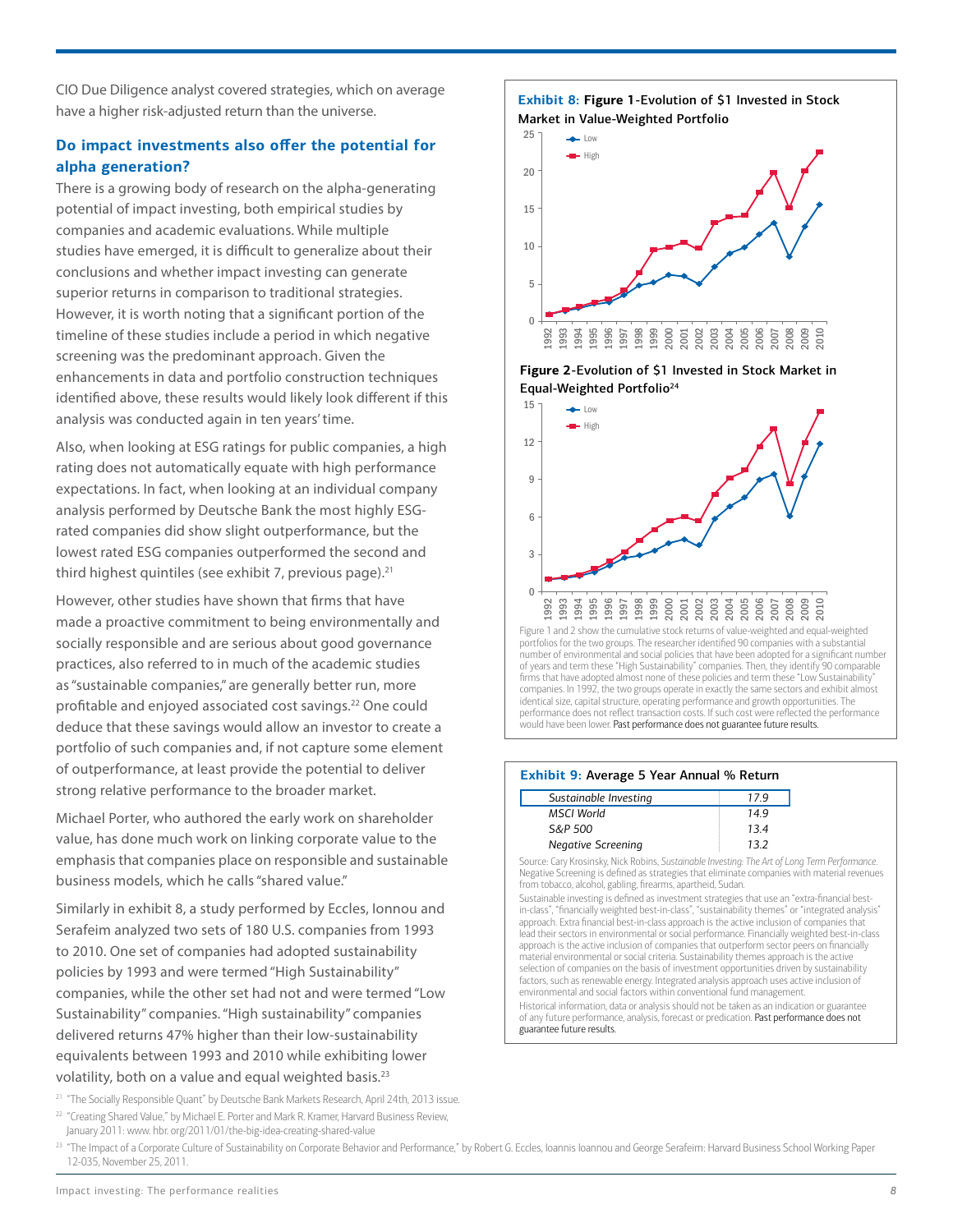CIO Due Diligence analyst covered strategies, which on average have a higher risk-adjusted return than the universe.

# **Do impact investments also offer the potential for alpha generation?**

There is a growing body of research on the alpha-generating potential of impact investing, both empirical studies by companies and academic evaluations. While multiple studies have emerged, it is difficult to generalize about their conclusions and whether impact investing can generate superior returns in comparison to traditional strategies. However, it is worth noting that a significant portion of the timeline of these studies include a period in which negative screening was the predominant approach. Given the enhancements in data and portfolio construction techniques identified above, these results would likely look different if this analysis was conducted again in ten years' time.

Also, when looking at ESG ratings for public companies, a high rating does not automatically equate with high performance expectations. In fact, when looking at an individual company analysis performed by Deutsche Bank the most highly ESGrated companies did show slight outperformance, but the lowest rated ESG companies outperformed the second and third highest quintiles (see exhibit 7, previous page). $21$ 

However, other studies have shown that firms that have made a proactive commitment to being environmentally and socially responsible and are serious about good governance practices, also referred to in much of the academic studies as "sustainable companies," are generally better run, more profitable and enjoyed associated cost savings.22 One could deduce that these savings would allow an investor to create a portfolio of such companies and, if not capture some element of outperformance, at least provide the potential to deliver strong relative performance to the broader market.

Michael Porter, who authored the early work on shareholder value, has done much work on linking corporate value to the emphasis that companies place on responsible and sustainable business models, which he calls "shared value."

Similarly in exhibit 8, a study performed by Eccles, Ionnou and Serafeim analyzed two sets of 180 U.S. companies from 1993 to 2010. One set of companies had adopted sustainability policies by 1993 and were termed "High Sustainability" companies, while the other set had not and were termed "Low Sustainability" companies. "High sustainability" companies delivered returns 47% higher than their low-sustainability equivalents between 1993 and 2010 while exhibiting lower volatility, both on a value and equal weighted basis.<sup>23</sup>

<sup>21</sup> "The Socially Responsible Quant" by Deutsche Bank Markets Research, April 24th, 2013 issue. <sup>22</sup> "Creating Shared Value," by Michael E. Porter and Mark R. Kramer, Harvard Business Review,

January 2011: www. hbr. org/2011/01/the-big-idea-creating-shared-value

25 20 15 10  $\overline{0}$ 5 1992 1993 1994 1995 1996 1997 1998 1999 2000 2001 2002 2003 2004 2005 2006 2007 2008 2009 2010 **High** High  $\rightarrow$ low

**Exhibit 8: Figure 1**-Evolution of \$1 Invested in Stock

Market in Value-Weighted Portfolio





portfolios for the two groups. The researcher identified 90 companies with a substantial number of environmental and social policies that have been adopted for a significant number of years and term these "High Sustainability" companies. Then, they identify 90 comparable firms that have adopted almost none of these policies and term these "Low Sustainability companies. In 1992, the two groups operate in exactly the same sectors and exhibit almost identical size, capital structure, operating performance and growth opportunities. The performance does not reflect transaction costs. If such cost were reflected the performance .<br>would have been lower. **Past performance does not guarantee future results.** 

#### **Exhibit 9:** Average 5 Year Annual % Return

| Sustainable Investing     | 179 |
|---------------------------|-----|
| MSCI World                | 149 |
| S&P 500                   | 134 |
| <b>Negative Screening</b> | 132 |

Source: Cary Krosinsky, Nick Robins, *Sustainable Investing: The Art of Long Term Performance*. Negative Screening is defined as strategies that eliminate companies with material revenues from tobacco, alcohol, gabling, firearms, apartheid, Sudan.

Sustainable investing is defined as investment strategies that use an "extra-financial bestin-class", "financially weighted best-in-class", "sustainability themes" or "integrated analysis" approach. Extra financial best-in-class approach is the active inclusion of companies that lead their sectors in environmental or social performance. Financially weighted best-in-class approach is the active inclusion of companies that outperform sector peers on financially material environmental or social criteria. Sustainability themes approach is the active selection of companies on the basis of investment opportunities driven by sustainability factors, such as renewable energy. Integrated analysis approach uses active inclusion of environmental and social factors within conventional fund management.

Historical information, data or analysis should not be taken as an indication or guarantee of any future performance, analysis, forecast or predication. Past performance does not guarantee future results.

<sup>23</sup> "The Impact of a Corporate Culture of Sustainability on Corporate Behavior and Performance," by Robert G. Eccles, Ioannis Ioannou and George Serafeim: Harvard Business School Working Paper 12-035, November 25, 2011.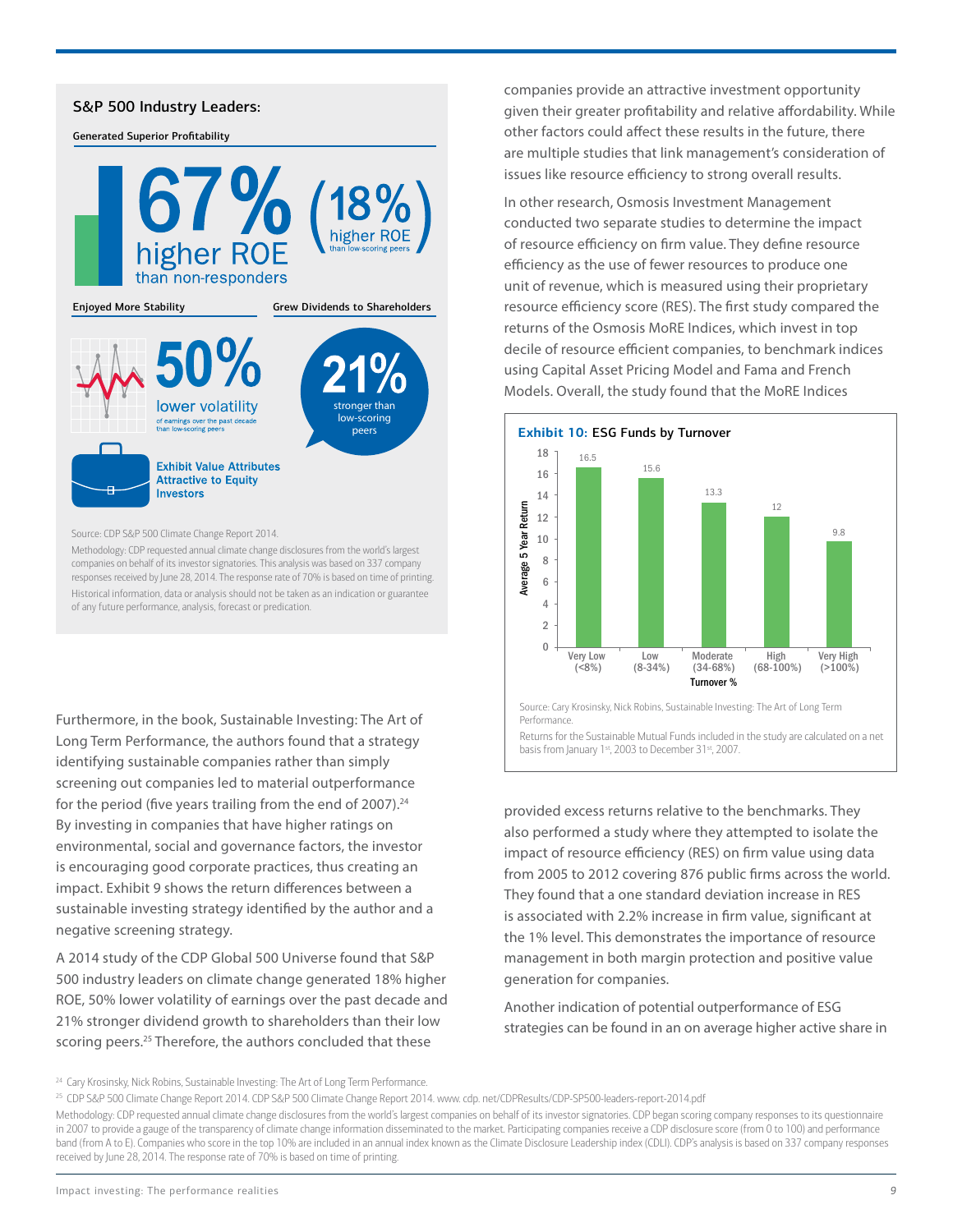### S&P 500 Industry Leaders:

Generated Superior Profitability



Source: CDP S&P 500 Climate Change Report 2014.

Methodology: CDP requested annual climate change disclosures from the world's largest companies on behalf of its investor signatories. This analysis was based on 337 company responses received by June 28, 2014. The response rate of 70% is based on time of printing. Historical information, data or analysis should not be taken as an indication or guarantee of any future performance, analysis, forecast or predication.

Furthermore, in the book, Sustainable Investing: The Art of Long Term Performance, the authors found that a strategy identifying sustainable companies rather than simply screening out companies led to material outperformance for the period (five years trailing from the end of 2007).<sup>24</sup> By investing in companies that have higher ratings on environmental, social and governance factors, the investor is encouraging good corporate practices, thus creating an impact. Exhibit 9 shows the return differences between a sustainable investing strategy identified by the author and a negative screening strategy.

A 2014 study of the CDP Global 500 Universe found that S&P 500 industry leaders on climate change generated 18% higher ROE, 50% lower volatility of earnings over the past decade and 21% stronger dividend growth to shareholders than their low scoring peers.<sup>25</sup> Therefore, the authors concluded that these

companies provide an attractive investment opportunity given their greater profitability and relative affordability. While other factors could affect these results in the future, there are multiple studies that link management's consideration of issues like resource efficiency to strong overall results.

In other research, Osmosis Investment Management conducted two separate studies to determine the impact of resource efficiency on firm value. They define resource efficiency as the use of fewer resources to produce one unit of revenue, which is measured using their proprietary resource efficiency score (RES). The first study compared the returns of the Osmosis MoRE Indices, which invest in top decile of resource efficient companies, to benchmark indices using Capital Asset Pricing Model and Fama and French Models. Overall, the study found that the MoRE Indices



Source: Cary Krosinsky, Nick Robins, Sustainable Investing: The Art of Long Term Performance.

Returns for the Sustainable Mutual Funds included in the study are calculated on a net basis from January 1st, 2003 to December 31st, 2007.

provided excess returns relative to the benchmarks. They also performed a study where they attempted to isolate the impact of resource efficiency (RES) on firm value using data from 2005 to 2012 covering 876 public firms across the world. They found that a one standard deviation increase in RES is associated with 2.2% increase in firm value, significant at the 1% level. This demonstrates the importance of resource management in both margin protection and positive value generation for companies.

Another indication of potential outperformance of ESG strategies can be found in an on average higher active share in

<sup>&</sup>lt;sup>24</sup> Cary Krosinsky, Nick Robins, Sustainable Investing: The Art of Long Term Performance.

<sup>25</sup> CDP S&P 500 Climate Change Report 2014. CDP S&P 500 Climate Change Report 2014. www. cdp. net/CDPResults/CDP-SP500-leaders-report-2014.pdf

Methodology: CDP requested annual climate change disclosures from the world's largest companies on behalf of its investor signatories. CDP began scoring company responses to its questionnaire in 2007 to provide a gauge of the transparency of climate change information disseminated to the market. Participating companies receive a CDP disclosure score (from 0 to 100) and performance band (from A to E). Companies who score in the top 10% are included in an annual index known as the Climate Disclosure Leadership index (CDLI). CDP's analysis is based on 337 company responses received by June 28, 2014. The response rate of 70% is based on time of printing.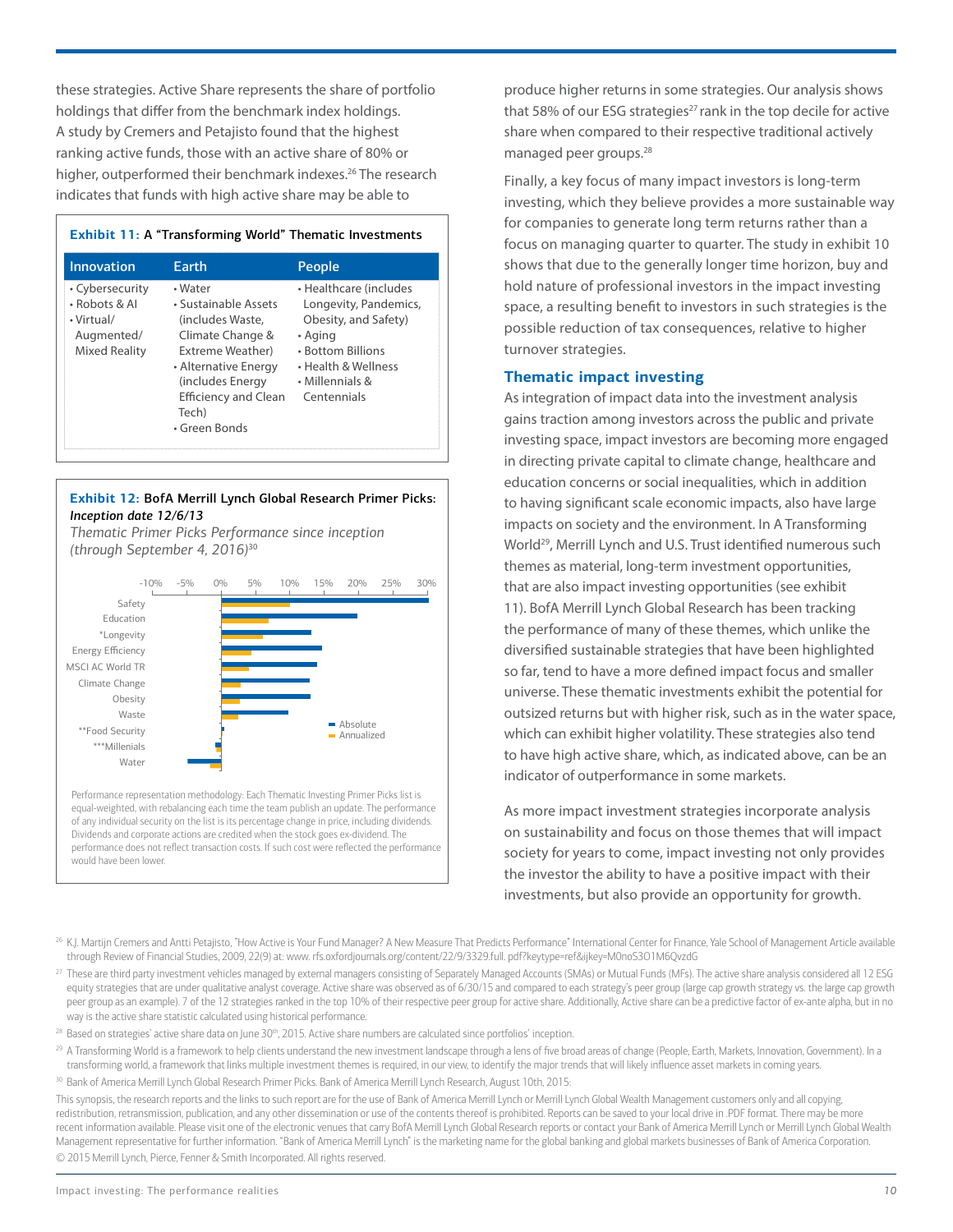these strategies. Active Share represents the share of portfolio holdings that differ from the benchmark index holdings. A study by Cremers and Petajisto found that the highest ranking active funds, those with an active share of 80% or higher, outperformed their benchmark indexes.<sup>26</sup> The research indicates that funds with high active share may be able to

# **Exhibit 11:** A "Transforming World" Thematic Investments

| <b>Innovation</b>                                                                    | <b>Earth</b>                                                                                                                                                                                     | People                                                                                                                                                           |
|--------------------------------------------------------------------------------------|--------------------------------------------------------------------------------------------------------------------------------------------------------------------------------------------------|------------------------------------------------------------------------------------------------------------------------------------------------------------------|
| • Cybersecurity<br>• Robots & Al<br>• Virtual/<br>Augmented/<br><b>Mixed Reality</b> | • Water<br>• Sustainable Assets<br>(includes Waste,<br>Climate Change &<br>Extreme Weather)<br>• Alternative Energy<br>(includes Energy<br><b>Efficiency and Clean</b><br>Tech)<br>• Green Bonds | • Healthcare (includes<br>Longevity, Pandemics,<br>Obesity, and Safety)<br>• Aging<br>• Bottom Billions<br>• Health & Wellness<br>• Millennials &<br>Centennials |

#### **Exhibit 12:** BofA Merrill Lynch Global Research Primer Picks: *Inception date 12/6/13*

*Thematic Primer Picks Performance since inception (through September 4, 2016)* 30



equal-weighted, with rebalancing each time the team publish an update. The performance of any individual security on the list is its percentage change in price, including dividends. Dividends and corporate actions are credited when the stock goes ex-dividend. The performance does not reflect transaction costs. If such cost were reflected the performance would have been lower.

produce higher returns in some strategies. Our analysis shows that 58% of our ESG strategies<sup>27</sup> rank in the top decile for active share when compared to their respective traditional actively managed peer groups.28

Finally, a key focus of many impact investors is long-term investing, which they believe provides a more sustainable way for companies to generate long term returns rather than a focus on managing quarter to quarter. The study in exhibit 10 shows that due to the generally longer time horizon, buy and hold nature of professional investors in the impact investing space, a resulting benefit to investors in such strategies is the possible reduction of tax consequences, relative to higher turnover strategies.

# **Thematic impact investing**

As integration of impact data into the investment analysis gains traction among investors across the public and private investing space, impact investors are becoming more engaged in directing private capital to climate change, healthcare and education concerns or social inequalities, which in addition to having significant scale economic impacts, also have large impacts on society and the environment. In A Transforming World<sup>29</sup>, Merrill Lynch and U.S. Trust identified numerous such themes as material, long-term investment opportunities, that are also impact investing opportunities (see exhibit 11). BofA Merrill Lynch Global Research has been tracking the performance of many of these themes, which unlike the diversified sustainable strategies that have been highlighted so far, tend to have a more defined impact focus and smaller universe. These thematic investments exhibit the potential for outsized returns but with higher risk, such as in the water space, which can exhibit higher volatility. These strategies also tend to have high active share, which, as indicated above, can be an indicator of outperformance in some markets.

As more impact investment strategies incorporate analysis on sustainability and focus on those themes that will impact society for years to come, impact investing not only provides the investor the ability to have a positive impact with their investments, but also provide an opportunity for growth.

- <sup>26</sup> K.J. Martijn Cremers and Antti Petajisto, "How Active is Your Fund Manager? A New Measure That Predicts Performance" International Center for Finance, Yale School of Management Article available through Review of Financial Studies, 2009, 22(9) at: www. rfs.oxfordjournals.org/content/22/9/3329.full. pdf?keytype=ref&ijkey=M0noS3O1M6QvzdG
- <sup>27</sup> These are third party investment vehicles managed by external managers consisting of Separately Managed Accounts (SMAs) or Mutual Funds (MFs). The active share analysis considered all 12 ESG equity strategies that are under qualitative analyst coverage. Active share was observed as of 6/30/15 and compared to each strategy's peer group (large cap growth strategy vs. the large cap growth peer group as an example). 7 of the 12 strategies ranked in the top 10% of their respective peer group for active share. Additionally, Active share can be a predictive factor of ex-ante alpha, but in no way is the active share statistic calculated using historical performance.
- <sup>28</sup> Based on strategies' active share data on June 30<sup>th</sup>, 2015. Active share numbers are calculated since portfolios' inception.
- <sup>29</sup> A Transforming World is a framework to help clients understand the new investment landscape through a lens of five broad areas of change (People, Earth, Markets, Innovation, Government). In a transforming world, a framework that links multiple investment themes is required, in our view, to identify the major trends that will likely influence asset markets in coming years.
- 30 Bank of America Merrill Lynch Global Research Primer Picks. Bank of America Merrill Lynch Research, August 10th, 2015:

This synopsis, the research reports and the links to such report are for the use of Bank of America Merrill Lynch or Merrill Lynch Global Wealth Management customers only and all copying, redistribution, retransmission, publication, and any other dissemination or use of the contents thereof is prohibited. Reports can be saved to your local drive in .PDF format. There may be more recent information available. Please visit one of the electronic venues that carry BofA Merrill Lynch Global Research reports or contact your Bank of America Merrill Lynch or Merrill Lynch Global Wealth Management representative for further information. "Bank of America Merrill Lynch" is the marketing name for the global banking and global markets businesses of Bank of America Corporation. © 2015 Merrill Lynch, Pierce, Fenner & Smith Incorporated. All rights reserved.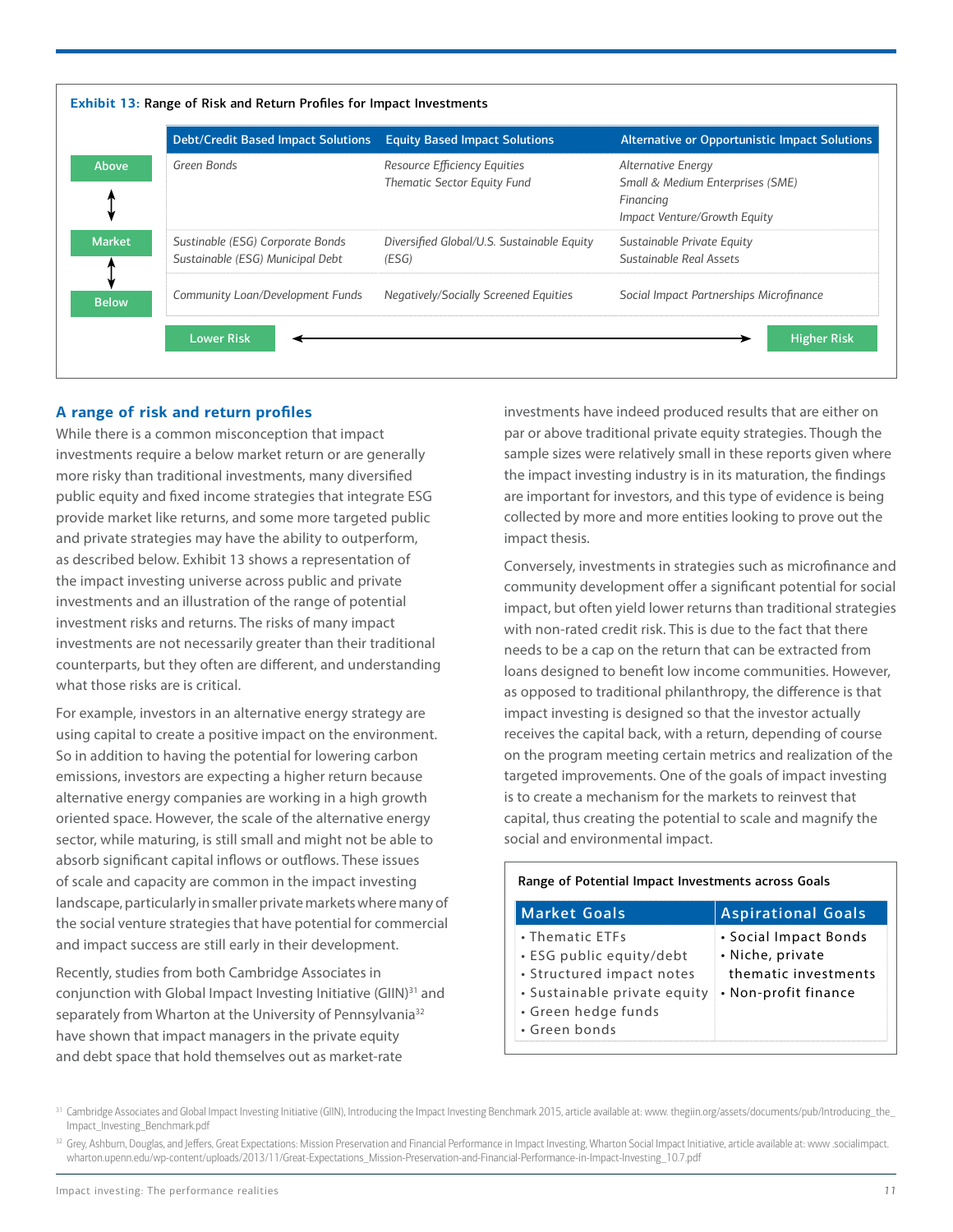| <b>Debt/Credit Based Impact Solutions</b>                            | <b>Equity Based Impact Solutions</b>                        | Alternative or Opportunistic Impact Solutions                                                       |
|----------------------------------------------------------------------|-------------------------------------------------------------|-----------------------------------------------------------------------------------------------------|
| Green Bonds                                                          | Resource Efficiency Equities<br>Thematic Sector Equity Fund | Alternative Energy<br>Small & Medium Enterprises (SME)<br>Financing<br>Impact Venture/Growth Equity |
| Sustinable (ESG) Corporate Bonds<br>Sustainable (ESG) Municipal Debt | Diversified Global/U.S. Sustainable Equity<br>(ESG)         | Sustainable Private Equity<br>Sustainable Real Assets                                               |
| Community Loan/Development Funds                                     | <b>Negatively/Socially Screened Equities</b>                | Social Impact Partnerships Microfinance                                                             |

# **A range of risk and return profiles**

While there is a common misconception that impact investments require a below market return or are generally more risky than traditional investments, many diversified public equity and fixed income strategies that integrate ESG provide market like returns, and some more targeted public and private strategies may have the ability to outperform, as described below. Exhibit 13 shows a representation of the impact investing universe across public and private investments and an illustration of the range of potential investment risks and returns. The risks of many impact investments are not necessarily greater than their traditional counterparts, but they often are different, and understanding what those risks are is critical.

For example, investors in an alternative energy strategy are using capital to create a positive impact on the environment. So in addition to having the potential for lowering carbon emissions, investors are expecting a higher return because alternative energy companies are working in a high growth oriented space. However, the scale of the alternative energy sector, while maturing, is still small and might not be able to absorb significant capital inflows or outflows. These issues of scale and capacity are common in the impact investing landscape, particularly in smaller private markets where many of the social venture strategies that have potential for commercial and impact success are still early in their development.

Recently, studies from both Cambridge Associates in conjunction with Global Impact Investing Initiative (GIIN)<sup>31</sup> and separately from Wharton at the University of Pennsylvania<sup>32</sup> have shown that impact managers in the private equity and debt space that hold themselves out as market-rate

investments have indeed produced results that are either on par or above traditional private equity strategies. Though the sample sizes were relatively small in these reports given where the impact investing industry is in its maturation, the findings are important for investors, and this type of evidence is being collected by more and more entities looking to prove out the impact thesis.

Conversely, investments in strategies such as microfinance and community development offer a significant potential for social impact, but often yield lower returns than traditional strategies with non-rated credit risk. This is due to the fact that there needs to be a cap on the return that can be extracted from loans designed to benefit low income communities. However, as opposed to traditional philanthropy, the difference is that impact investing is designed so that the investor actually receives the capital back, with a return, depending of course on the program meeting certain metrics and realization of the targeted improvements. One of the goals of impact investing is to create a mechanism for the markets to reinvest that capital, thus creating the potential to scale and magnify the social and environmental impact.

| Range of Potential Impact Investments across Goals                                                                                               |                                                                                           |  |  |  |  |  |  |
|--------------------------------------------------------------------------------------------------------------------------------------------------|-------------------------------------------------------------------------------------------|--|--|--|--|--|--|
| <b>Market Goals</b>                                                                                                                              | <b>Aspirational Goals</b>                                                                 |  |  |  |  |  |  |
| • Thematic ETFs<br>• ESG public equity/debt<br>• Structured impact notes<br>• Sustainable private equity<br>• Green hedge funds<br>• Green bonds | • Social Impact Bonds<br>• Niche, private<br>thematic investments<br>• Non-profit finance |  |  |  |  |  |  |

<sup>31</sup> Cambridge Associates and Global Impact Investing Initiative (GIIN), Introducing the Impact Investing Benchmark 2015, article available at: www. thegiin.org/assets/documents/pub/Introducing\_the\_ Impact\_Investing\_Benchmark.pdf

<sup>32</sup> Grey, Ashburn, Douglas, and Jeffers, Great Expectations: Mission Preservation and Financial Performance in Impact Investing, Wharton Social Impact Initiative, article available at: www .socialimpact. wharton.upenn.edu/wp-content/uploads/2013/11/Great-Expectations\_Mission-Preservation-and-Financial-Performance-in-Impact-Investing\_10.7.pdf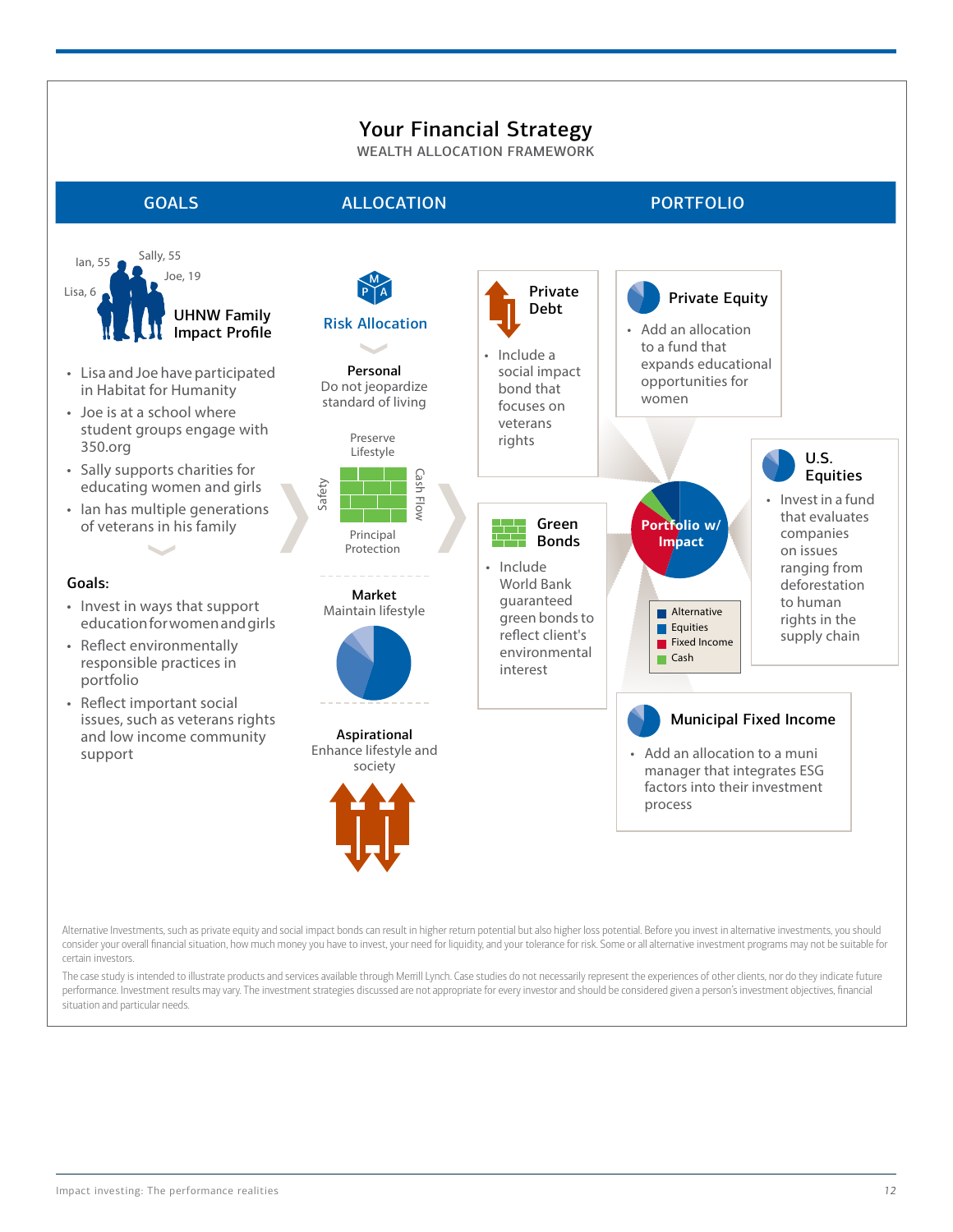# Your Financial Strategy

WEALTH ALLOCATION FRAMEWORK

Sally, 55





consider your overall financial situation, how much money you have to invest, your need for liquidity, and your tolerance for risk. Some or all alternative investment programs may not be suitable for certain investors.

The case study is intended to illustrate products and services available through Merrill Lynch. Case studies do not necessarily represent the experiences of other clients, nor do they indicate future performance. Investment results may vary. The investment strategies discussed are not appropriate for every investor and should be considered given a person's investment objectives, financial situation and particular needs.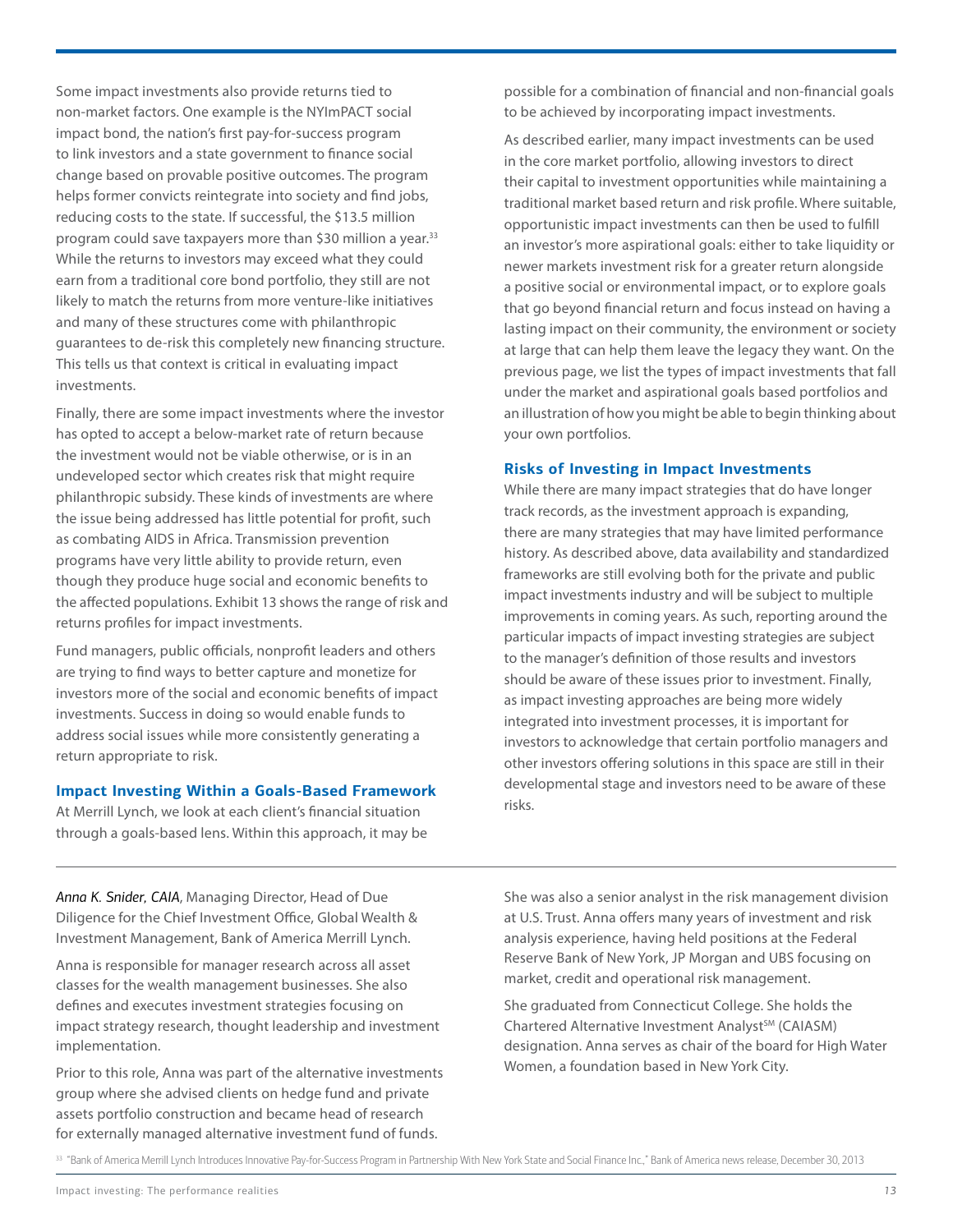Some impact investments also provide returns tied to non-market factors. One example is the NYImPACT social impact bond, the nation's first pay-for-success program to link investors and a state government to finance social change based on provable positive outcomes. The program helps former convicts reintegrate into society and find jobs, reducing costs to the state. If successful, the \$13.5 million program could save taxpayers more than \$30 million a year.<sup>33</sup> While the returns to investors may exceed what they could earn from a traditional core bond portfolio, they still are not likely to match the returns from more venture-like initiatives and many of these structures come with philanthropic guarantees to de-risk this completely new financing structure. This tells us that context is critical in evaluating impact investments.

Finally, there are some impact investments where the investor has opted to accept a below-market rate of return because the investment would not be viable otherwise, or is in an undeveloped sector which creates risk that might require philanthropic subsidy. These kinds of investments are where the issue being addressed has little potential for profit, such as combating AIDS in Africa. Transmission prevention programs have very little ability to provide return, even though they produce huge social and economic benefits to the affected populations. Exhibit 13 shows the range of risk and returns profiles for impact investments.

Fund managers, public officials, nonprofit leaders and others are trying to find ways to better capture and monetize for investors more of the social and economic benefits of impact investments. Success in doing so would enable funds to address social issues while more consistently generating a return appropriate to risk.

#### **Impact Investing Within a Goals-Based Framework**

At Merrill Lynch, we look at each client's financial situation through a goals-based lens. Within this approach, it may be possible for a combination of financial and non-financial goals to be achieved by incorporating impact investments.

As described earlier, many impact investments can be used in the core market portfolio, allowing investors to direct their capital to investment opportunities while maintaining a traditional market based return and risk profile. Where suitable, opportunistic impact investments can then be used to fulfill an investor's more aspirational goals: either to take liquidity or newer markets investment risk for a greater return alongside a positive social or environmental impact, or to explore goals that go beyond financial return and focus instead on having a lasting impact on their community, the environment or society at large that can help them leave the legacy they want. On the previous page, we list the types of impact investments that fall under the market and aspirational goals based portfolios and an illustration of how you might be able to begin thinking about your own portfolios.

### **Risks of Investing in Impact Investments**

While there are many impact strategies that do have longer track records, as the investment approach is expanding, there are many strategies that may have limited performance history. As described above, data availability and standardized frameworks are still evolving both for the private and public impact investments industry and will be subject to multiple improvements in coming years. As such, reporting around the particular impacts of impact investing strategies are subject to the manager's definition of those results and investors should be aware of these issues prior to investment. Finally, as impact investing approaches are being more widely integrated into investment processes, it is important for investors to acknowledge that certain portfolio managers and other investors offering solutions in this space are still in their developmental stage and investors need to be aware of these risks.

*Anna K. Snider, CAIA*, Managing Director, Head of Due Diligence for the Chief Investment Office, Global Wealth & Investment Management, Bank of America Merrill Lynch.

Anna is responsible for manager research across all asset classes for the wealth management businesses. She also defines and executes investment strategies focusing on impact strategy research, thought leadership and investment implementation.

Prior to this role, Anna was part of the alternative investments group where she advised clients on hedge fund and private assets portfolio construction and became head of research for externally managed alternative investment fund of funds.

She was also a senior analyst in the risk management division at U.S. Trust. Anna offers many years of investment and risk analysis experience, having held positions at the Federal Reserve Bank of New York, JP Morgan and UBS focusing on market, credit and operational risk management.

She graduated from Connecticut College. She holds the Chartered Alternative Investment Analyst<sup>SM</sup> (CAIASM) designation. Anna serves as chair of the board for High Water Women, a foundation based in New York City.

33 "Bank of America Merrill Lynch Introduces Innovative Pay-for-Success Program in Partnership With New York State and Social Finance Inc.," Bank of America news release, December 30, 2013